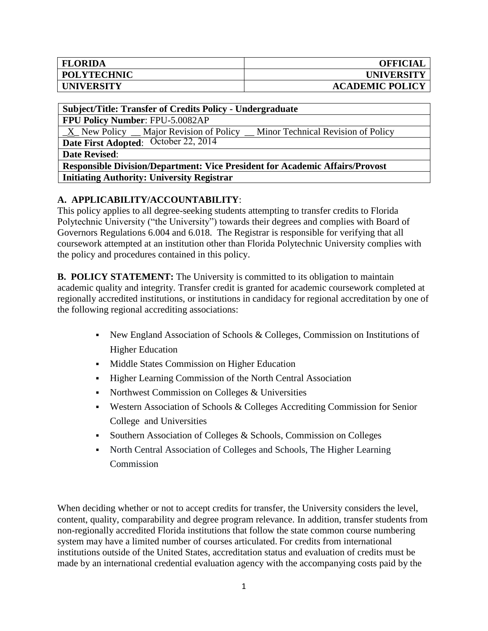| <b>FLORIDA</b>     | <b>OFFICIAL</b>        |
|--------------------|------------------------|
| <b>POLYTECHNIC</b> | <b>UNIVERSITY</b>      |
| <b>UNIVERSITY</b>  | <b>ACADEMIC POLICY</b> |

## **Subject/Title: Transfer of Credits Policy - Undergraduate**

**FPU Policy Number**: FPU-5.0082AP

\_X\_ New Policy \_\_ Major Revision of Policy \_\_ Minor Technical Revision of Policy

**Date First Adopted**: October 22, 2014

**Date Revised**:

**Responsible Division/Department: Vice President for Academic Affairs/Provost Initiating Authority: University Registrar**

# **A. APPLICABILITY/ACCOUNTABILITY**:

This policy applies to all degree-seeking students attempting to transfer credits to Florida Polytechnic University ("the University") towards their degrees and complies with Board of Governors Regulations 6.004 and 6.018. The Registrar is responsible for verifying that all coursework attempted at an institution other than Florida Polytechnic University complies with the policy and procedures contained in this policy.

**B. POLICY STATEMENT:** The University is committed to its obligation to maintain academic quality and integrity. Transfer credit is granted for academic coursework completed at regionally accredited institutions, or institutions in candidacy for regional accreditation by one of the following regional accrediting associations:

- New England Association of Schools  $&$  Colleges, Commission on Institutions of Higher Education
- Middle States Commission on Higher Education
- Higher Learning Commission of the North Central Association
- Northwest Commission on Colleges & Universities
- Western Association of Schools & Colleges Accrediting Commission for Senior College and Universities
- Southern Association of Colleges & Schools, Commission on Colleges
- North Central Association of Colleges and Schools, The Higher Learning Commission

When deciding whether or not to accept credits for transfer, the University considers the level, content, quality, comparability and degree program relevance. In addition, transfer students from non-regionally accredited Florida institutions that follow the state common course numbering system may have a limited number of courses articulated. For credits from international institutions outside of the United States, accreditation status and evaluation of credits must be made by an international credential evaluation agency with the accompanying costs paid by the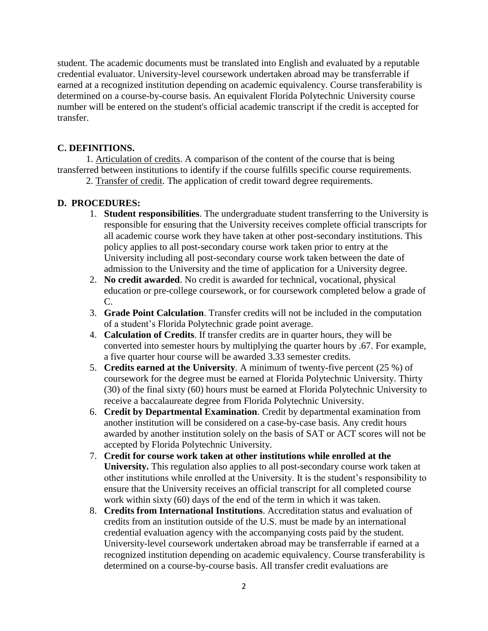student. The academic documents must be translated into English and evaluated by a reputable credential evaluator. University-level coursework undertaken abroad may be transferrable if earned at a recognized institution depending on academic equivalency. Course transferability is determined on a course-by-course basis. An equivalent Florida Polytechnic University course number will be entered on the student's official academic transcript if the credit is accepted for transfer.

### **C. DEFINITIONS.**

1. Articulation of credits. A comparison of the content of the course that is being transferred between institutions to identify if the course fulfills specific course requirements.

2. Transfer of credit. The application of credit toward degree requirements.

## **D. PROCEDURES:**

- 1. **Student responsibilities**. The undergraduate student transferring to the University is responsible for ensuring that the University receives complete official transcripts for all academic course work they have taken at other post-secondary institutions. This policy applies to all post-secondary course work taken prior to entry at the University including all post-secondary course work taken between the date of admission to the University and the time of application for a University degree.
- 2. **No credit awarded**. No credit is awarded for technical, vocational, physical education or pre-college coursework, or for coursework completed below a grade of C.
- 3. **Grade Point Calculation**. Transfer credits will not be included in the computation of a student's Florida Polytechnic grade point average.
- 4. **Calculation of Credits**. If transfer credits are in quarter hours, they will be converted into semester hours by multiplying the quarter hours by .67. For example, a five quarter hour course will be awarded 3.33 semester credits.
- 5. **Credits earned at the University**. A minimum of twenty-five percent (25 %) of coursework for the degree must be earned at Florida Polytechnic University. Thirty (30) of the final sixty (60) hours must be earned at Florida Polytechnic University to receive a baccalaureate degree from Florida Polytechnic University.
- 6. **Credit by Departmental Examination**. Credit by departmental examination from another institution will be considered on a case-by-case basis. Any credit hours awarded by another institution solely on the basis of SAT or ACT scores will not be accepted by Florida Polytechnic University.
- 7. **Credit for course work taken at other institutions while enrolled at the University.** This regulation also applies to all post-secondary course work taken at other institutions while enrolled at the University. It is the student's responsibility to ensure that the University receives an official transcript for all completed course work within sixty (60) days of the end of the term in which it was taken.
- 8. **Credits from International Institutions**. Accreditation status and evaluation of credits from an institution outside of the U.S. must be made by an international credential evaluation agency with the accompanying costs paid by the student. University-level coursework undertaken abroad may be transferrable if earned at a recognized institution depending on academic equivalency. Course transferability is determined on a course-by-course basis. All transfer credit evaluations are